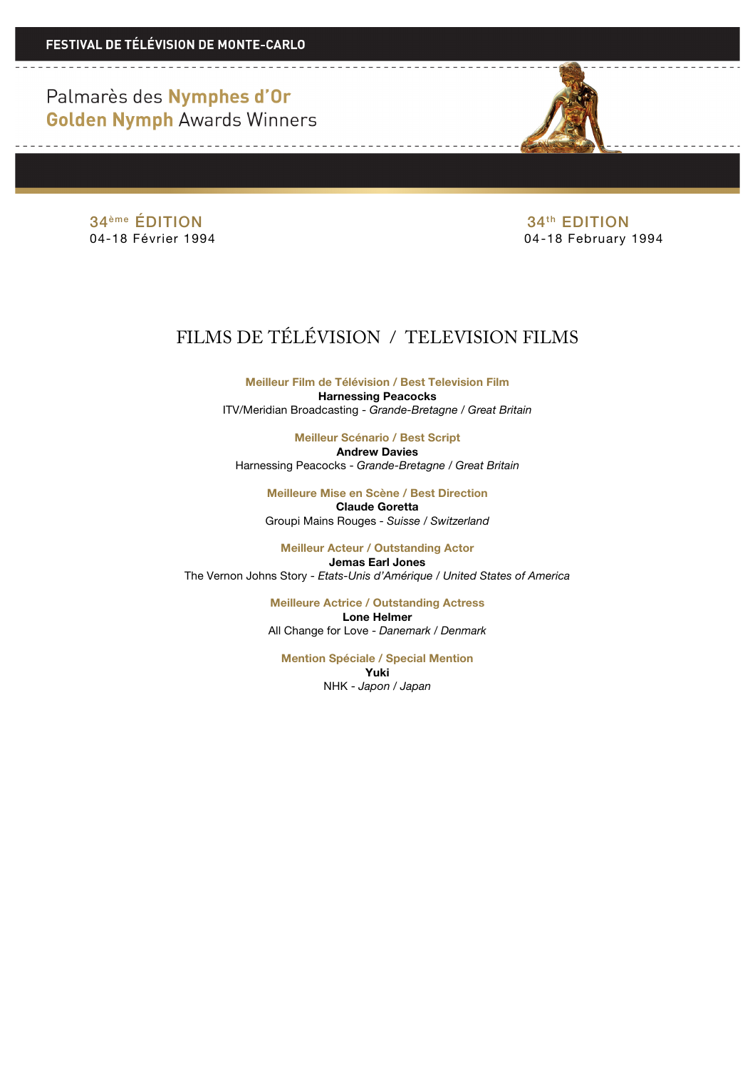Palmarès des Nymphes d'Or **Golden Nymph Awards Winners** 



34<sup>ème</sup> ÉDITION 34<sup>ème</sup> ÉDITION 34<sup>th</sup> EDITION 34<sup>th</sup> EDITION

04-18 February 1994

## FILMS DE TÉLÉVISION / TELEVISION FILMS

**Meilleur Film de Télévision / Best Television Film Harnessing Peacocks** ITV/Meridian Broadcasting - *Grande-Bretagne / Great Britain*

**Meilleur Scénario / Best Script Andrew Davies** Harnessing Peacocks - *Grande-Bretagne / Great Britain*

> **Meilleure Mise en Scène / Best Direction Claude Goretta** Groupi Mains Rouges - *Suisse / Switzerland*

**Meilleur Acteur / Outstanding Actor Jemas Earl Jones** The Vernon Johns Story - *Etats-Unis d'Amérique / United States of America*

> **Meilleure Actrice / Outstanding Actress Lone Helmer** All Change for Love - *Danemark / Denmark*

**Mention Spéciale / Special Mention Yuki** NHK - *Japon / Japan*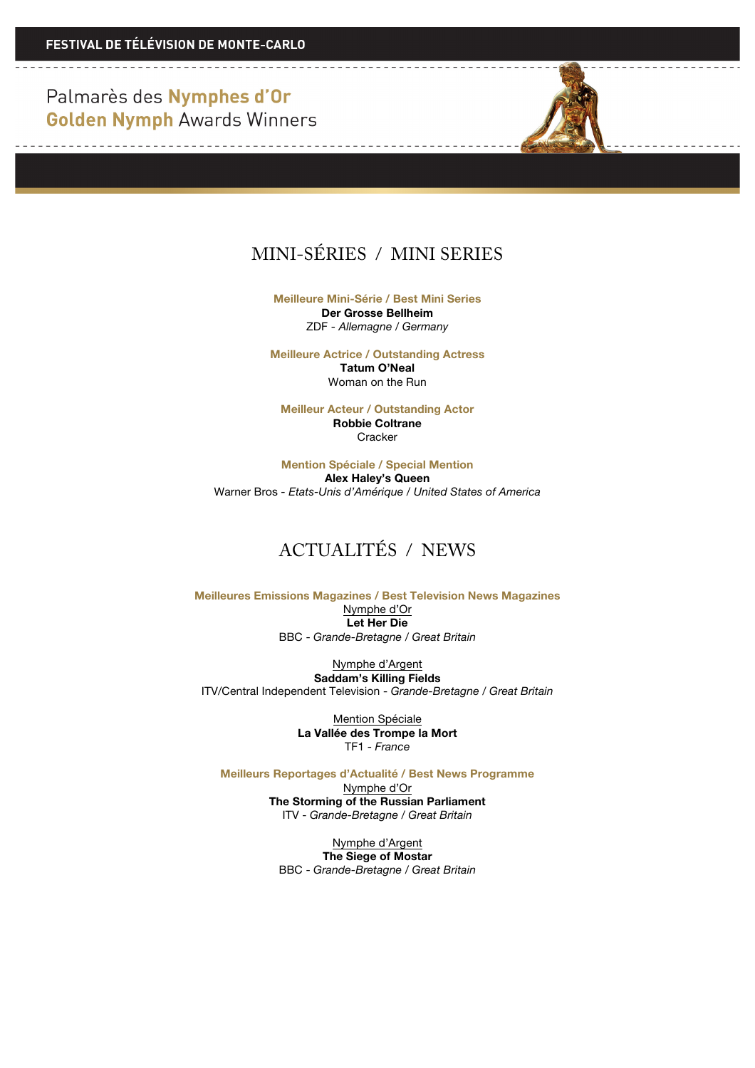Palmarès des Nymphes d'Or **Golden Nymph Awards Winners** 

<u> De la Carlo de la Carlo de la Ca</u>

<u> 1989 - Andrea Albert III, martin a filozofia a tsat</u>



**Meilleure Mini-Série / Best Mini Series Der Grosse Bellheim** ZDF - *Allemagne / Germany*

**Meilleure Actrice / Outstanding Actress Tatum O'Neal** Woman on the Run

**Meilleur Acteur / Outstanding Actor Robbie Coltrane Cracker** 

**Mention Spéciale / Special Mention Alex Haley's Queen** Warner Bros *- Etats-Unis d'Amérique / United States of America*

## ACTUALITÉS / NEWS

**Meilleures Emissions Magazines / Best Television News Magazines**  Nymphe d'Or **Let Her Die** BBC - *Grande-Bretagne / Great Britain*

Nymphe d'Argent **Saddam's Killing Fields** ITV/Central Independent Television - *Grande-Bretagne / Great Britain*

> Mention Spéciale **La Vallée des Trompe la Mort** TF1 - *France*

**Meilleurs Reportages d'Actualité / Best News Programme**

Nymphe d'Or **The Storming of the Russian Parliament** ITV - *Grande-Bretagne / Great Britain*

Nymphe d'Argent **The Siege of Mostar** BBC - *Grande-Bretagne / Great Britain*